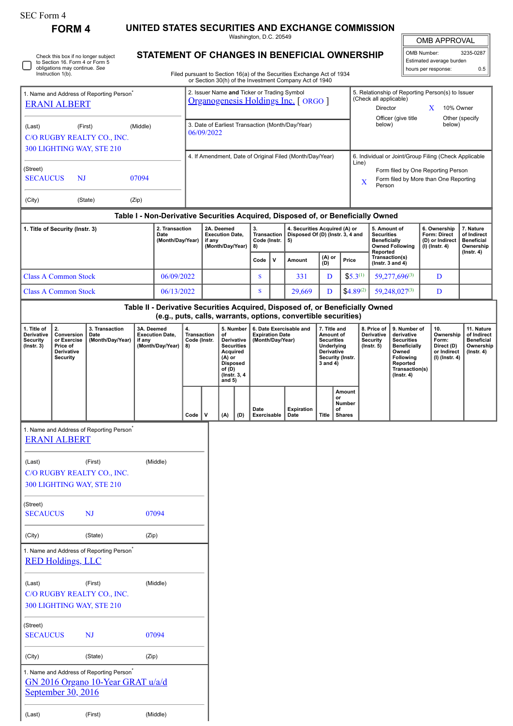## SEC Form 4

∩

Check this box if no longer subject to Section 16. Form 4 or Form 5 obligations may continue. *See* Instruction 1(b).

**FORM 4 UNITED STATES SECURITIES AND EXCHANGE COMMISSION**

Washington, D.C. 20549 **STATEMENT OF CHANGES IN BENEFICIAL OWNERSHIP**

OMB APPROVAL

OMB Number: 3235-0287 Estimated average burden hours per response: 0.5

| Filed pursuant to Section 16(a) of the Securities Exchange Act of 1934 |  |
|------------------------------------------------------------------------|--|
| or Section 30(h) of the Investment Company Act of 1940                 |  |

|                                                                                          |                                                           |                                            |                      |                                                                                     |                                                                                                                            |  |                                                                                                                                                     |                                                                         |             | or Section 30(h) of the Investment Company Act of 1940                                                                                          |                                                                                    |                                                                                                                    |                                                                             |                                                 |                                                                                |  |                  |
|------------------------------------------------------------------------------------------|-----------------------------------------------------------|--------------------------------------------|----------------------|-------------------------------------------------------------------------------------|----------------------------------------------------------------------------------------------------------------------------|--|-----------------------------------------------------------------------------------------------------------------------------------------------------|-------------------------------------------------------------------------|-------------|-------------------------------------------------------------------------------------------------------------------------------------------------|------------------------------------------------------------------------------------|--------------------------------------------------------------------------------------------------------------------|-----------------------------------------------------------------------------|-------------------------------------------------|--------------------------------------------------------------------------------|--|------------------|
| 1. Name and Address of Reporting Person <sup>®</sup><br><b>ERANI ALBERT</b>              |                                                           |                                            |                      | 2. Issuer Name and Ticker or Trading Symbol<br>Organogenesis Holdings Inc. [ ORGO ] |                                                                                                                            |  |                                                                                                                                                     |                                                                         |             |                                                                                                                                                 |                                                                                    | (Check all applicable)<br>Director                                                                                 | 5. Relationship of Reporting Person(s) to Issuer                            | X                                               | 10% Owner                                                                      |  |                  |
| (Last)<br>(First)<br>(Middle)<br>C/O RUGBY REALTY CO., INC.<br>300 LIGHTING WAY, STE 210 |                                                           |                                            |                      |                                                                                     | 3. Date of Earliest Transaction (Month/Day/Year)<br>06/09/2022<br>4. If Amendment, Date of Original Filed (Month/Day/Year) |  |                                                                                                                                                     |                                                                         |             |                                                                                                                                                 |                                                                                    | Officer (give title<br>Other (specify<br>below)<br>below)<br>6. Individual or Joint/Group Filing (Check Applicable |                                                                             |                                                 |                                                                                |  |                  |
| (Street)<br><b>SECAUCUS</b><br><b>NJ</b><br>07094<br>(City)<br>(State)<br>(Zip)          |                                                           |                                            |                      |                                                                                     |                                                                                                                            |  |                                                                                                                                                     |                                                                         |             |                                                                                                                                                 |                                                                                    | Line)<br>$\mathbf x$<br>Person                                                                                     | Form filed by One Reporting Person<br>Form filed by More than One Reporting |                                                 |                                                                                |  |                  |
|                                                                                          |                                                           |                                            |                      |                                                                                     |                                                                                                                            |  |                                                                                                                                                     |                                                                         |             | Table I - Non-Derivative Securities Acquired, Disposed of, or Beneficially Owned                                                                |                                                                                    |                                                                                                                    |                                                                             |                                                 |                                                                                |  |                  |
| 1. Title of Security (Instr. 3)<br>2. Transaction<br>Date                                |                                                           |                                            | (Month/Day/Year)     |                                                                                     | 2A. Deemed<br><b>Execution Date,</b><br>if anv<br>(Month/Day/Year)                                                         |  | <b>Transaction</b><br>Code (Instr.                                                                                                                  | 4. Securities Acquired (A) or<br>Disposed Of (D) (Instr. 3, 4 and<br>5) |             |                                                                                                                                                 | 5. Amount of<br><b>Securities</b><br><b>Beneficially</b><br><b>Owned Following</b> |                                                                                                                    | 6. Ownership<br>Form: Direct<br>(D) or Indirect<br>$(I)$ (Instr. 4)         |                                                 | 7. Nature<br>of Indirect<br><b>Beneficial</b><br>Ownership                     |  |                  |
|                                                                                          |                                                           |                                            |                      |                                                                                     |                                                                                                                            |  |                                                                                                                                                     | Code                                                                    | $\mathbf v$ | Amount                                                                                                                                          | (A) or<br>(D)                                                                      | Price                                                                                                              | Reported                                                                    | Transaction(s)<br>( $lnstr. 3$ and $4$ )        |                                                                                |  | $($ lnstr. 4 $)$ |
| <b>Class A Common Stock</b>                                                              |                                                           |                                            |                      | 06/09/2022                                                                          |                                                                                                                            |  |                                                                                                                                                     | s                                                                       |             | 331                                                                                                                                             | D                                                                                  | $$5.3^{(1)}$$                                                                                                      |                                                                             | 59,277,696(3)                                   | D                                                                              |  |                  |
| <b>Class A Common Stock</b><br>06/13/2022                                                |                                                           |                                            |                      |                                                                                     |                                                                                                                            |  | s                                                                                                                                                   |                                                                         | 29,669      | D                                                                                                                                               | $$4.89^{(2)}$                                                                      |                                                                                                                    | 59,248,027(3)                                                               | D                                               |                                                                                |  |                  |
|                                                                                          |                                                           |                                            |                      |                                                                                     |                                                                                                                            |  |                                                                                                                                                     |                                                                         |             | Table II - Derivative Securities Acquired, Disposed of, or Beneficially Owned<br>(e.g., puts, calls, warrants, options, convertible securities) |                                                                                    |                                                                                                                    |                                                                             |                                                 |                                                                                |  |                  |
| 1. Title of<br><b>Derivative</b><br>Security<br>$($ lnstr. 3 $)$                         | 2.<br>Conversion<br>or Exercise<br>Price of<br>Derivative | 3. Transaction<br>Date<br>(Month/Day/Year) | 3A. Deemed<br>if anv | <b>Execution Date.</b><br>(Month/Day/Year)                                          | 4.<br>5. Number<br><b>Transaction</b><br>of<br>Code (Instr.<br><b>Derivative</b><br><b>Securities</b><br>8)<br>Acquired    |  | 6. Date Exercisable and<br>7. Title and<br><b>Expiration Date</b><br>Amount of<br>(Month/Day/Year)<br><b>Securities</b><br>Underlying<br>Derivative |                                                                         |             |                                                                                                                                                 | 8. Price of<br><b>Derivative</b><br>Security<br>$($ lnstr. 5 $)$                   | 9. Number of<br>derivative<br><b>Securities</b><br><b>Beneficially</b><br>Owned                                    | 10.                                                                         | Ownership<br>Form:<br>Direct (D)<br>or Indirect | 11. Nature<br>of Indirect<br><b>Beneficial</b><br>Ownership<br>$($ lnstr $.4)$ |  |                  |

| (Instr. 3)      | Price of<br><b>Derivative</b><br><b>Security</b> |                                                      | (Month/Day/Year)   8) |              |              | Securities<br>Acquired<br>$(A)$ or<br><b>Disposed</b><br>of $(D)$<br>(Instr. 3, 4)<br>and $5)$ |     |                     |                    | Underlying<br><b>Derivative</b><br>Security (Instr.<br>$3$ and $4)$ |                                                      | (Instr. 5) | <b>Beneficially</b><br>Owned<br>Following<br>Reported<br>Transaction(s)<br>$($ Instr. 4 $)$ | Direct (D)<br>or Indirect<br>(I) (Instr. 4) | Ownership<br>$($ lnstr. 4 $)$ |
|-----------------|--------------------------------------------------|------------------------------------------------------|-----------------------|--------------|--------------|------------------------------------------------------------------------------------------------|-----|---------------------|--------------------|---------------------------------------------------------------------|------------------------------------------------------|------------|---------------------------------------------------------------------------------------------|---------------------------------------------|-------------------------------|
|                 |                                                  |                                                      |                       | $Code \vert$ | $\mathsf{v}$ | (A)                                                                                            | (D) | Date<br>Exercisable | Expiration<br>Date | Title                                                               | Amount<br>or<br><b>Number</b><br>of<br><b>Shares</b> |            |                                                                                             |                                             |                               |
|                 | <b>ERANI ALBERT</b>                              | 1. Name and Address of Reporting Person <sup>*</sup> |                       |              |              |                                                                                                |     |                     |                    |                                                                     |                                                      |            |                                                                                             |                                             |                               |
| (Last)          |                                                  | (First)                                              | (Middle)              |              |              |                                                                                                |     |                     |                    |                                                                     |                                                      |            |                                                                                             |                                             |                               |
|                 |                                                  | C/O RUGBY REALTY CO., INC.                           |                       |              |              |                                                                                                |     |                     |                    |                                                                     |                                                      |            |                                                                                             |                                             |                               |
|                 |                                                  | 300 LIGHTING WAY, STE 210                            |                       |              |              |                                                                                                |     |                     |                    |                                                                     |                                                      |            |                                                                                             |                                             |                               |
| (Street)        |                                                  |                                                      |                       |              |              |                                                                                                |     |                     |                    |                                                                     |                                                      |            |                                                                                             |                                             |                               |
| <b>SECAUCUS</b> |                                                  | <b>NJ</b>                                            | 07094                 |              |              |                                                                                                |     |                     |                    |                                                                     |                                                      |            |                                                                                             |                                             |                               |
| (City)          |                                                  | (State)                                              | (Zip)                 |              |              |                                                                                                |     |                     |                    |                                                                     |                                                      |            |                                                                                             |                                             |                               |

1. Name and Address of Reporting Person<sup>\*</sup> [RED Holdings, LLC](http://www.sec.gov/cgi-bin/browse-edgar?action=getcompany&CIK=0001900525)

| (Last)   | (First)                    | (Middle) |
|----------|----------------------------|----------|
|          | C/O RUGBY REALTY CO., INC. |          |
|          | 300 LIGHTING WAY, STE 210  |          |
| (Street) |                            |          |

SECAUCUS NJ 07094 (City) (State) (Zip) 1. Name and Address of Reporting Person\*

[GN 2016 Organo 10-Year GRAT u/a/d](http://www.sec.gov/cgi-bin/browse-edgar?action=getcompany&CIK=0001757452) September 30, 2016

| (Last) | (First) | (Middle) |
|--------|---------|----------|
|        |         |          |